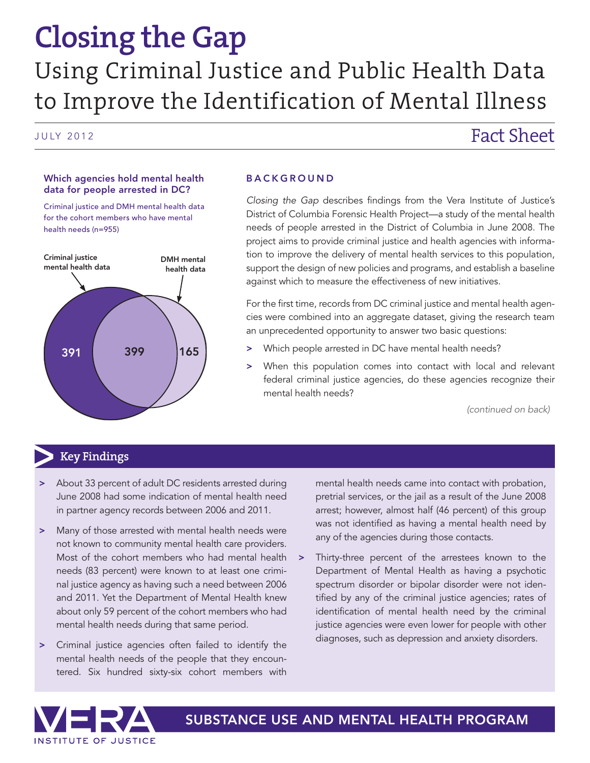# **Closing the Gap** Using Criminal Justice and Public Health Data to Improve the Identification of Mental Illness

# JULY 2012 **Fact Sheet**

#### Which agencies hold mental health data for people arrested in DC?

Criminal justice and DMH mental health data for the cohort members who have mental health needs (n=955)



#### **BACKGROUND**

*Closing the Gap* describes findings from the Vera Institute of Justice's District of Columbia Forensic Health Project—a study of the mental health needs of people arrested in the District of Columbia in June 2008. The project aims to provide criminal justice and health agencies with information to improve the delivery of mental health services to this population, support the design of new policies and programs, and establish a baseline against which to measure the effectiveness of new initiatives.

For the first time, records from DC criminal justice and mental health agencies were combined into an aggregate dataset, giving the research team an unprecedented opportunity to answer two basic questions:

- > Which people arrested in DC have mental health needs?
- When this population comes into contact with local and relevant federal criminal justice agencies, do these agencies recognize their mental health needs?

*(continued on back)*

# **Key Findings**

- About 33 percent of adult DC residents arrested during June 2008 had some indication of mental health need in partner agency records between 2006 and 2011.
- > Many of those arrested with mental health needs were not known to community mental health care providers. Most of the cohort members who had mental health needs (83 percent) were known to at least one criminal justice agency as having such a need between 2006 and 2011. Yet the Department of Mental Health knew about only 59 percent of the cohort members who had mental health needs during that same period.
- > Criminal justice agencies often failed to identify the mental health needs of the people that they encountered. Six hundred sixty-six cohort members with

mental health needs came into contact with probation, pretrial services, or the jail as a result of the June 2008 arrest; however, almost half (46 percent) of this group was not identified as having a mental health need by any of the agencies during those contacts.

> Thirty-three percent of the arrestees known to the Department of Mental Health as having a psychotic spectrum disorder or bipolar disorder were not identified by any of the criminal justice agencies; rates of identification of mental health need by the criminal justice agencies were even lower for people with other diagnoses, such as depression and anxiety disorders.



SUBSTANCE USE AND MENTAL HEALTH PROGRAM